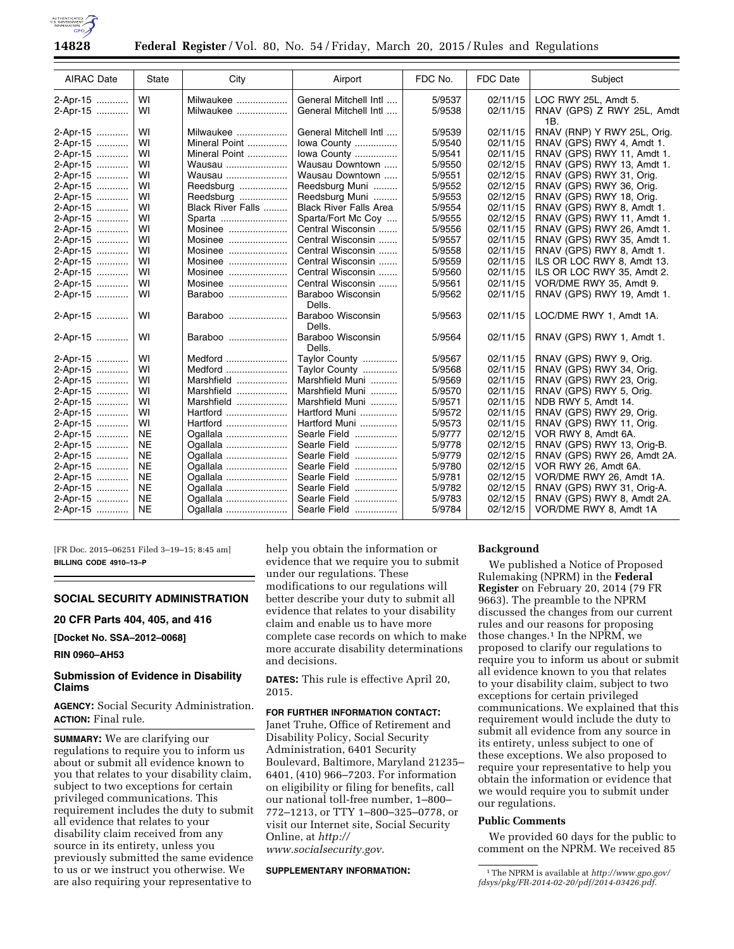

| <b>AIRAC Date</b> | State     | City              | Airport                       | FDC No. | FDC Date | Subject                           |
|-------------------|-----------|-------------------|-------------------------------|---------|----------|-----------------------------------|
| 2-Apr-15          | WI        | Milwaukee         | General Mitchell Intl         | 5/9537  | 02/11/15 | LOC RWY 25L, Amdt 5.              |
| 2-Apr-15          | WI        | Milwaukee         | General Mitchell Intl         | 5/9538  | 02/11/15 | RNAV (GPS) Z RWY 25L, Amdt<br>1B. |
| 2-Apr-15          | WI        | Milwaukee         | General Mitchell Intl         | 5/9539  | 02/11/15 | RNAV (RNP) Y RWY 25L, Orig.       |
| 2-Apr-15          | WI        | Mineral Point     | lowa County                   | 5/9540  | 02/11/15 | RNAV (GPS) RWY 4, Amdt 1.         |
| 2-Apr-15          | WI        | Mineral Point     | lowa County                   | 5/9541  | 02/11/15 | RNAV (GPS) RWY 11, Amdt 1.        |
| 2-Apr-15          | WI        | Wausau            | Wausau Downtown               | 5/9550  | 02/12/15 | RNAV (GPS) RWY 13, Amdt 1.        |
| 2-Apr-15          | WI        | Wausau            | Wausau Downtown               | 5/9551  | 02/12/15 | RNAV (GPS) RWY 31, Orig.          |
| 2-Apr-15          | WI        | Reedsburg         | Reedsburg Muni                | 5/9552  | 02/12/15 | RNAV (GPS) RWY 36, Orig.          |
| 2-Apr-15          | WI        | Reedsburg         | Reedsburg Muni                | 5/9553  | 02/12/15 | RNAV (GPS) RWY 18, Orig.          |
| 2-Apr-15          | WI        | Black River Falls | <b>Black River Falls Area</b> | 5/9554  | 02/11/15 | RNAV (GPS) RWY 8, Amdt 1.         |
| 2-Apr-15          | WI        | Sparta            | Sparta/Fort Mc Coy            | 5/9555  | 02/12/15 | RNAV (GPS) RWY 11, Amdt 1.        |
| 2-Apr-15          | WI        | Mosinee           | Central Wisconsin             | 5/9556  | 02/11/15 | RNAV (GPS) RWY 26, Amdt 1.        |
| 2-Apr-15          | WI        | Mosinee           | Central Wisconsin             | 5/9557  | 02/11/15 | RNAV (GPS) RWY 35, Amdt 1.        |
| 2-Apr-15          | WI        | Mosinee           | Central Wisconsin             | 5/9558  | 02/11/15 | RNAV (GPS) RWY 8, Amdt 1.         |
| 2-Apr-15          | WI        | Mosinee           | Central Wisconsin             | 5/9559  | 02/11/15 | ILS OR LOC RWY 8, Amdt 13.        |
| 2-Apr-15          | WI        | Mosinee           | Central Wisconsin             | 5/9560  | 02/11/15 | ILS OR LOC RWY 35, Amdt 2.        |
| 2-Apr-15          | WI        | Mosinee           | Central Wisconsin             | 5/9561  | 02/11/15 | VOR/DME RWY 35, Amdt 9.           |
| 2-Apr-15          | WI        | Baraboo           | Baraboo Wisconsin<br>Dells.   | 5/9562  | 02/11/15 | RNAV (GPS) RWY 19, Amdt 1.        |
| 2-Apr-15          | WI        | Baraboo           | Baraboo Wisconsin<br>Dells.   | 5/9563  | 02/11/15 | LOC/DME RWY 1, Amdt 1A.           |
| 2-Apr-15          | WI        | Baraboo           | Baraboo Wisconsin<br>Dells.   | 5/9564  | 02/11/15 | RNAV (GPS) RWY 1, Amdt 1.         |
| 2-Apr-15          | WI        | Medford           | Taylor County                 | 5/9567  | 02/11/15 | RNAV (GPS) RWY 9, Orig.           |
| 2-Apr-15          | WI        | Medford           | Taylor County                 | 5/9568  | 02/11/15 | RNAV (GPS) RWY 34, Orig.          |
| 2-Apr-15          | WI        | Marshfield        | Marshfield Muni               | 5/9569  | 02/11/15 | RNAV (GPS) RWY 23, Orig.          |
| 2-Apr-15          | WI        | Marshfield        | Marshfield Muni               | 5/9570  | 02/11/15 | RNAV (GPS) RWY 5, Orig.           |
| 2-Apr-15          | WI        | Marshfield        | Marshfield Muni               | 5/9571  | 02/11/15 | NDB RWY 5, Amdt 14.               |
| 2-Apr-15          | WI        | Hartford          | Hartford Muni                 | 5/9572  | 02/11/15 | RNAV (GPS) RWY 29, Orig.          |
| 2-Apr-15          | WI        | Hartford          | Hartford Muni                 | 5/9573  | 02/11/15 | RNAV (GPS) RWY 11, Orig.          |
| 2-Apr-15          | <b>NE</b> | Ogallala          | Searle Field                  | 5/9777  | 02/12/15 | VOR RWY 8, Amdt 6A.               |
| 2-Apr-15          | <b>NE</b> | Ogallala          | Searle Field                  | 5/9778  | 02/12/15 | RNAV (GPS) RWY 13, Orig-B.        |
| 2-Apr-15          | <b>NE</b> | Ogallala          | Searle Field                  | 5/9779  | 02/12/15 | RNAV (GPS) RWY 26, Amdt 2A.       |
| 2-Apr-15          | <b>NE</b> | Ogallala          | Searle Field                  | 5/9780  | 02/12/15 | VOR RWY 26, Amdt 6A.              |
| 2-Apr-15          | <b>NE</b> | Ogallala          | Searle Field                  | 5/9781  | 02/12/15 | VOR/DME RWY 26, Amdt 1A.          |
| 2-Apr-15          | <b>NE</b> | Ogallala          | Searle Field                  | 5/9782  | 02/12/15 | RNAV (GPS) RWY 31, Orig-A.        |
| 2-Apr-15          | <b>NE</b> | Ogallala          | Searle Field                  | 5/9783  | 02/12/15 | RNAV (GPS) RWY 8, Amdt 2A.        |
| 2-Apr-15          | <b>NE</b> | Ogallala          | Searle Field                  | 5/9784  | 02/12/15 | VOR/DME RWY 8, Amdt 1A            |

[FR Doc. 2015–06251 Filed 3–19–15; 8:45 am] **BILLING CODE 4910–13–P** 

## **SOCIAL SECURITY ADMINISTRATION**

## **20 CFR Parts 404, 405, and 416**

**[Docket No. SSA–2012–0068]** 

## **RIN 0960–AH53**

#### **Submission of Evidence in Disability Claims**

## **AGENCY:** Social Security Administration. **ACTION:** Final rule.

**SUMMARY:** We are clarifying our regulations to require you to inform us about or submit all evidence known to you that relates to your disability claim, subject to two exceptions for certain privileged communications. This requirement includes the duty to submit all evidence that relates to your disability claim received from any source in its entirety, unless you previously submitted the same evidence to us or we instruct you otherwise. We are also requiring your representative to

help you obtain the information or evidence that we require you to submit under our regulations. These modifications to our regulations will better describe your duty to submit all evidence that relates to your disability claim and enable us to have more complete case records on which to make more accurate disability determinations and decisions.

**DATES:** This rule is effective April 20, 2015.

#### **FOR FURTHER INFORMATION CONTACT:**

Janet Truhe, Office of Retirement and Disability Policy, Social Security Administration, 6401 Security Boulevard, Baltimore, Maryland 21235– 6401, (410) 966–7203. For information on eligibility or filing for benefits, call our national toll-free number, 1–800– 772–1213, or TTY 1–800–325–0778, or visit our Internet site, Social Security Online, at *[http://](http://www.socialsecurity.gov) [www.socialsecurity.gov.](http://www.socialsecurity.gov)* 

#### **SUPPLEMENTARY INFORMATION:**

#### **Background**

We published a Notice of Proposed Rulemaking (NPRM) in the **Federal Register** on February 20, 2014 (79 FR 9663). The preamble to the NPRM discussed the changes from our current rules and our reasons for proposing those changes.<sup>1</sup> In the NPRM, we proposed to clarify our regulations to require you to inform us about or submit all evidence known to you that relates to your disability claim, subject to two exceptions for certain privileged communications. We explained that this requirement would include the duty to submit all evidence from any source in its entirety, unless subject to one of these exceptions. We also proposed to require your representative to help you obtain the information or evidence that we would require you to submit under our regulations.

#### **Public Comments**

We provided 60 days for the public to comment on the NPRM. We received 85

<sup>1</sup>The NPRM is available at *[http://www.gpo.gov/](http://www.gpo.gov/fdsys/pkg/FR-2014-02-20/pdf/2014-03426.pdf) [fdsys/pkg/FR-2014-02-20/pdf/2014-03426.pdf.](http://www.gpo.gov/fdsys/pkg/FR-2014-02-20/pdf/2014-03426.pdf)*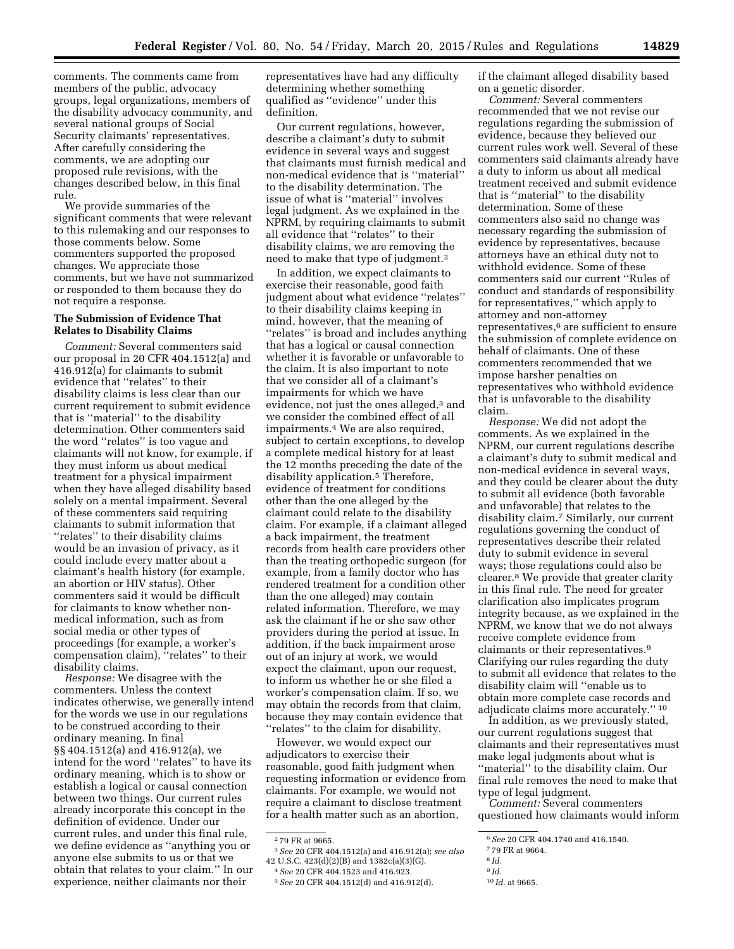comments. The comments came from members of the public, advocacy groups, legal organizations, members of the disability advocacy community, and several national groups of Social Security claimants' representatives. After carefully considering the comments, we are adopting our proposed rule revisions, with the changes described below, in this final rule.

We provide summaries of the significant comments that were relevant to this rulemaking and our responses to those comments below. Some commenters supported the proposed changes. We appreciate those comments, but we have not summarized or responded to them because they do not require a response.

#### **The Submission of Evidence That Relates to Disability Claims**

*Comment:* Several commenters said our proposal in 20 CFR 404.1512(a) and 416.912(a) for claimants to submit evidence that ''relates'' to their disability claims is less clear than our current requirement to submit evidence that is ''material'' to the disability determination. Other commenters said the word ''relates'' is too vague and claimants will not know, for example, if they must inform us about medical treatment for a physical impairment when they have alleged disability based solely on a mental impairment. Several of these commenters said requiring claimants to submit information that ''relates'' to their disability claims would be an invasion of privacy, as it could include every matter about a claimant's health history (for example, an abortion or HIV status). Other commenters said it would be difficult for claimants to know whether nonmedical information, such as from social media or other types of proceedings (for example, a worker's compensation claim), ''relates'' to their disability claims.

*Response:* We disagree with the commenters. Unless the context indicates otherwise, we generally intend for the words we use in our regulations to be construed according to their ordinary meaning. In final §§ 404.1512(a) and 416.912(a), we intend for the word ''relates'' to have its ordinary meaning, which is to show or establish a logical or causal connection between two things. Our current rules already incorporate this concept in the definition of evidence. Under our current rules, and under this final rule, we define evidence as ''anything you or anyone else submits to us or that we obtain that relates to your claim.'' In our experience, neither claimants nor their

representatives have had any difficulty determining whether something qualified as ''evidence'' under this definition.

Our current regulations, however, describe a claimant's duty to submit evidence in several ways and suggest that claimants must furnish medical and non-medical evidence that is ''material'' to the disability determination. The issue of what is ''material'' involves legal judgment. As we explained in the NPRM, by requiring claimants to submit all evidence that ''relates'' to their disability claims, we are removing the need to make that type of judgment.2

In addition, we expect claimants to exercise their reasonable, good faith judgment about what evidence ''relates'' to their disability claims keeping in mind, however, that the meaning of ''relates'' is broad and includes anything that has a logical or causal connection whether it is favorable or unfavorable to the claim. It is also important to note that we consider all of a claimant's impairments for which we have evidence, not just the ones alleged,<sup>3</sup> and we consider the combined effect of all impairments.4 We are also required, subject to certain exceptions, to develop a complete medical history for at least the 12 months preceding the date of the disability application.5 Therefore, evidence of treatment for conditions other than the one alleged by the claimant could relate to the disability claim. For example, if a claimant alleged a back impairment, the treatment records from health care providers other than the treating orthopedic surgeon (for example, from a family doctor who has rendered treatment for a condition other than the one alleged) may contain related information. Therefore, we may ask the claimant if he or she saw other providers during the period at issue. In addition, if the back impairment arose out of an injury at work, we would expect the claimant, upon our request, to inform us whether he or she filed a worker's compensation claim. If so, we may obtain the records from that claim, because they may contain evidence that ''relates'' to the claim for disability.

However, we would expect our adjudicators to exercise their reasonable, good faith judgment when requesting information or evidence from claimants. For example, we would not require a claimant to disclose treatment for a health matter such as an abortion,

3*See* 20 CFR 404.1512(a) and 416.912(a); *see also*  42 U.S.C. 423(d)(2)(B) and 1382c(a)(3)(G).

if the claimant alleged disability based on a genetic disorder.

*Comment:* Several commenters recommended that we not revise our regulations regarding the submission of evidence, because they believed our current rules work well. Several of these commenters said claimants already have a duty to inform us about all medical treatment received and submit evidence that is ''material'' to the disability determination. Some of these commenters also said no change was necessary regarding the submission of evidence by representatives, because attorneys have an ethical duty not to withhold evidence. Some of these commenters said our current ''Rules of conduct and standards of responsibility for representatives,'' which apply to attorney and non-attorney representatives,6 are sufficient to ensure the submission of complete evidence on behalf of claimants. One of these commenters recommended that we impose harsher penalties on representatives who withhold evidence that is unfavorable to the disability claim.

*Response:* We did not adopt the comments. As we explained in the NPRM, our current regulations describe a claimant's duty to submit medical and non-medical evidence in several ways, and they could be clearer about the duty to submit all evidence (both favorable and unfavorable) that relates to the disability claim.7 Similarly, our current regulations governing the conduct of representatives describe their related duty to submit evidence in several ways; those regulations could also be clearer.8 We provide that greater clarity in this final rule. The need for greater clarification also implicates program integrity because, as we explained in the NPRM, we know that we do not always receive complete evidence from claimants or their representatives.9 Clarifying our rules regarding the duty to submit all evidence that relates to the disability claim will ''enable us to obtain more complete case records and adjudicate claims more accurately.'' 10

In addition, as we previously stated, our current regulations suggest that claimants and their representatives must make legal judgments about what is ''material'' to the disability claim. Our final rule removes the need to make that type of legal judgment.

*Comment:* Several commenters questioned how claimants would inform

9 *Id.* 

<sup>2</sup> 79 FR at 9665.

<sup>4</sup>*See* 20 CFR 404.1523 and 416.923.

<sup>5</sup>*See* 20 CFR 404.1512(d) and 416.912(d).

<sup>6</sup>*See* 20 CFR 404.1740 and 416.1540.

<sup>7</sup> 79 FR at 9664.

<sup>8</sup> *Id.* 

<sup>10</sup> *Id.* at 9665.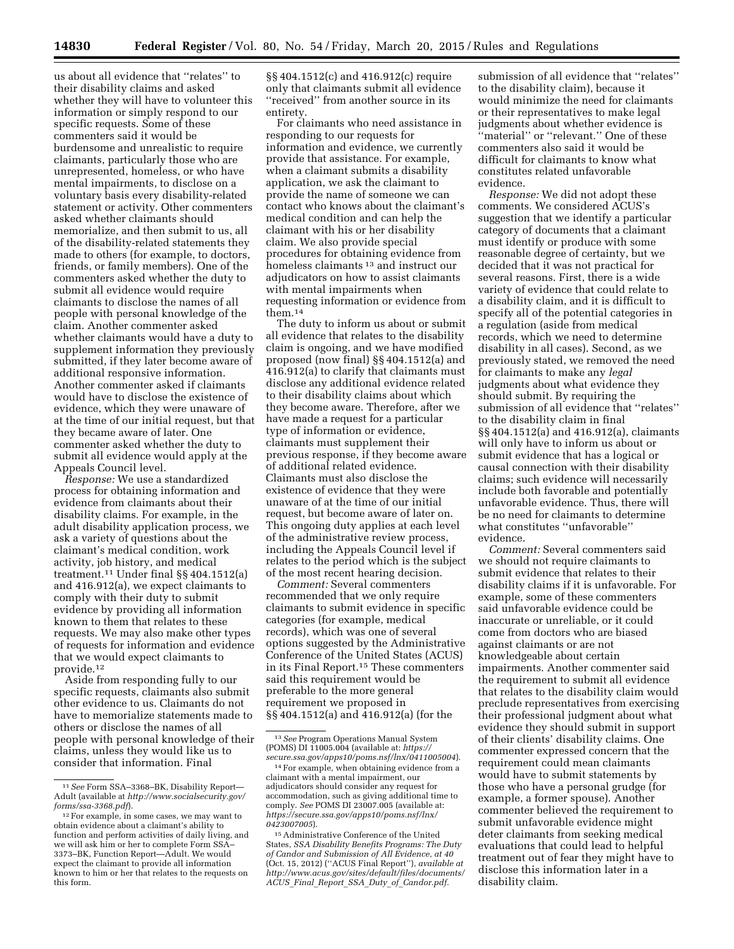us about all evidence that ''relates'' to their disability claims and asked whether they will have to volunteer this information or simply respond to our specific requests. Some of these commenters said it would be burdensome and unrealistic to require claimants, particularly those who are unrepresented, homeless, or who have mental impairments, to disclose on a voluntary basis every disability-related statement or activity. Other commenters asked whether claimants should memorialize, and then submit to us, all of the disability-related statements they made to others (for example, to doctors, friends, or family members). One of the commenters asked whether the duty to submit all evidence would require claimants to disclose the names of all people with personal knowledge of the claim. Another commenter asked whether claimants would have a duty to supplement information they previously submitted, if they later become aware of additional responsive information. Another commenter asked if claimants would have to disclose the existence of evidence, which they were unaware of at the time of our initial request, but that they became aware of later. One

commenter asked whether the duty to submit all evidence would apply at the Appeals Council level. *Response:* We use a standardized process for obtaining information and evidence from claimants about their disability claims. For example, in the adult disability application process, we ask a variety of questions about the

claimant's medical condition, work activity, job history, and medical treatment.11 Under final §§ 404.1512(a) and 416.912(a), we expect claimants to comply with their duty to submit evidence by providing all information known to them that relates to these requests. We may also make other types of requests for information and evidence that we would expect claimants to provide.12

Aside from responding fully to our specific requests, claimants also submit other evidence to us. Claimants do not have to memorialize statements made to others or disclose the names of all people with personal knowledge of their claims, unless they would like us to consider that information. Final

§§ 404.1512(c) and 416.912(c) require only that claimants submit all evidence ''received'' from another source in its entirety.

For claimants who need assistance in responding to our requests for information and evidence, we currently provide that assistance. For example, when a claimant submits a disability application, we ask the claimant to provide the name of someone we can contact who knows about the claimant's medical condition and can help the claimant with his or her disability claim. We also provide special procedures for obtaining evidence from homeless claimants 13 and instruct our adjudicators on how to assist claimants with mental impairments when requesting information or evidence from them.14

The duty to inform us about or submit all evidence that relates to the disability claim is ongoing, and we have modified proposed (now final) §§ 404.1512(a) and 416.912(a) to clarify that claimants must disclose any additional evidence related to their disability claims about which they become aware. Therefore, after we have made a request for a particular type of information or evidence, claimants must supplement their previous response, if they become aware of additional related evidence. Claimants must also disclose the existence of evidence that they were unaware of at the time of our initial request, but become aware of later on. This ongoing duty applies at each level of the administrative review process, including the Appeals Council level if relates to the period which is the subject of the most recent hearing decision.

*Comment:* Several commenters recommended that we only require claimants to submit evidence in specific categories (for example, medical records), which was one of several options suggested by the Administrative Conference of the United States (ACUS) in its Final Report.15 These commenters said this requirement would be preferable to the more general requirement we proposed in §§ 404.1512(a) and 416.912(a) (for the

submission of all evidence that ''relates'' to the disability claim), because it would minimize the need for claimants or their representatives to make legal judgments about whether evidence is ''material'' or ''relevant.'' One of these commenters also said it would be difficult for claimants to know what constitutes related unfavorable evidence.

*Response:* We did not adopt these comments. We considered ACUS's suggestion that we identify a particular category of documents that a claimant must identify or produce with some reasonable degree of certainty, but we decided that it was not practical for several reasons. First, there is a wide variety of evidence that could relate to a disability claim, and it is difficult to specify all of the potential categories in a regulation (aside from medical records, which we need to determine disability in all cases). Second, as we previously stated, we removed the need for claimants to make any *legal*  judgments about what evidence they should submit. By requiring the submission of all evidence that ''relates'' to the disability claim in final §§ 404.1512(a) and 416.912(a), claimants will only have to inform us about or submit evidence that has a logical or causal connection with their disability claims; such evidence will necessarily include both favorable and potentially unfavorable evidence. Thus, there will be no need for claimants to determine what constitutes ''unfavorable'' evidence.

*Comment:* Several commenters said we should not require claimants to submit evidence that relates to their disability claims if it is unfavorable. For example, some of these commenters said unfavorable evidence could be inaccurate or unreliable, or it could come from doctors who are biased against claimants or are not knowledgeable about certain impairments. Another commenter said the requirement to submit all evidence that relates to the disability claim would preclude representatives from exercising their professional judgment about what evidence they should submit in support of their clients' disability claims. One commenter expressed concern that the requirement could mean claimants would have to submit statements by those who have a personal grudge (for example, a former spouse). Another commenter believed the requirement to submit unfavorable evidence might deter claimants from seeking medical evaluations that could lead to helpful treatment out of fear they might have to disclose this information later in a disability claim.

<sup>11</sup>*See* Form SSA–3368–BK, Disability Report— Adult (available at *[http://www.socialsecurity.gov/](http://www.socialsecurity.gov/forms/ssa-3368.pdf)* 

<sup>&</sup>lt;sup>12</sup> For example, in some cases, we may want to obtain evidence about a claimant's ability to function and perform activities of daily living, and we will ask him or her to complete Form SSA– 3373–BK, Function Report—Adult. We would expect the claimant to provide all information known to him or her that relates to the requests on this form.

<sup>13</sup>*See* Program Operations Manual System (POMS) DI 11005.004 (available at: *[https://](https://secure.ssa.gov/apps10/poms.nsf/lnx/0411005004)* 

*[secure.ssa.gov/apps10/poms.nsf/lnx/0411005004](https://secure.ssa.gov/apps10/poms.nsf/lnx/0411005004)*). 14For example, when obtaining evidence from a claimant with a mental impairment, our adjudicators should consider any request for accommodation, such as giving additional time to comply. *See* POMS DI 23007.005 (available at: *[https://secure.ssa.gov/apps10/poms.nsf/lnx/](https://secure.ssa.gov/apps10/poms.nsf/lnx/0423007005) [0423007005](https://secure.ssa.gov/apps10/poms.nsf/lnx/0423007005)*).

<sup>15</sup>Administrative Conference of the United States, *SSA Disability Benefits Programs: The Duty of Candor and Submission of All Evidence, at 40*  (Oct. 15, 2012) (''ACUS Final Report''), *available at [http://www.acus.gov/sites/default/files/documents/](http://www.acus.gov/sites/default/files/documents/ACUS_Final_Report_SSA_Duty_of_Candor.pdf)  ACUS*\_*Final*\_*Report*\_*SSA*\_*Duty*\_*of*\_*[Candor.pdf.](http://www.acus.gov/sites/default/files/documents/ACUS_Final_Report_SSA_Duty_of_Candor.pdf)*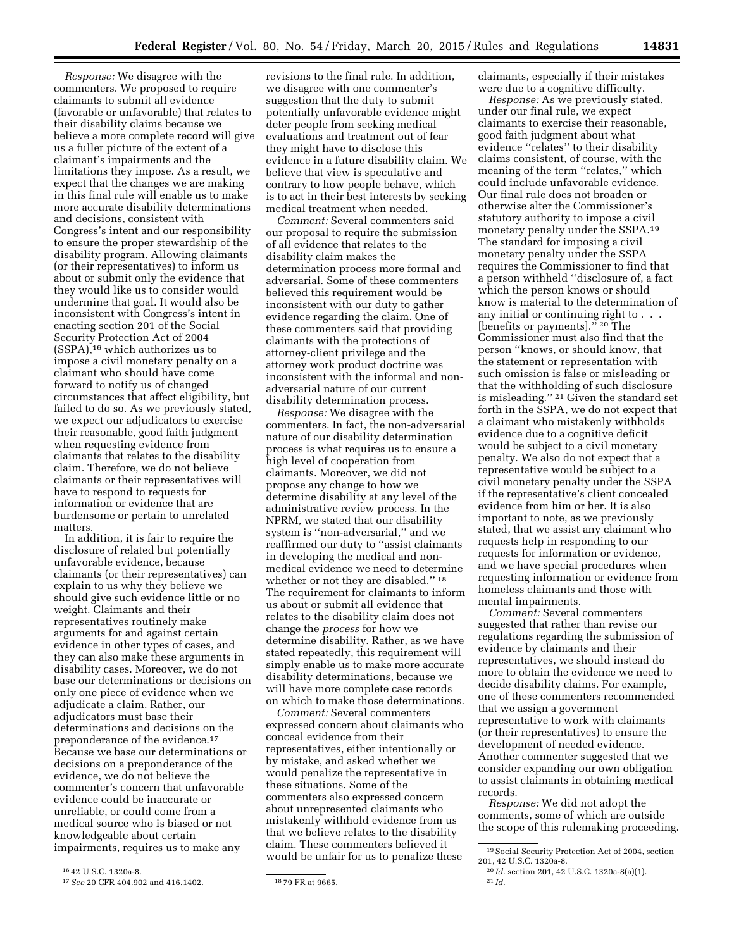*Response:* We disagree with the commenters. We proposed to require claimants to submit all evidence (favorable or unfavorable) that relates to their disability claims because we believe a more complete record will give us a fuller picture of the extent of a claimant's impairments and the limitations they impose. As a result, we expect that the changes we are making in this final rule will enable us to make more accurate disability determinations and decisions, consistent with Congress's intent and our responsibility to ensure the proper stewardship of the disability program. Allowing claimants (or their representatives) to inform us about or submit only the evidence that they would like us to consider would undermine that goal. It would also be inconsistent with Congress's intent in enacting section 201 of the Social Security Protection Act of 2004 (SSPA),16 which authorizes us to impose a civil monetary penalty on a claimant who should have come forward to notify us of changed circumstances that affect eligibility, but failed to do so. As we previously stated, we expect our adjudicators to exercise their reasonable, good faith judgment when requesting evidence from claimants that relates to the disability claim. Therefore, we do not believe claimants or their representatives will have to respond to requests for information or evidence that are burdensome or pertain to unrelated matters.

In addition, it is fair to require the disclosure of related but potentially unfavorable evidence, because claimants (or their representatives) can explain to us why they believe we should give such evidence little or no weight. Claimants and their representatives routinely make arguments for and against certain evidence in other types of cases, and they can also make these arguments in disability cases. Moreover, we do not base our determinations or decisions on only one piece of evidence when we adjudicate a claim. Rather, our adjudicators must base their determinations and decisions on the preponderance of the evidence.17 Because we base our determinations or decisions on a preponderance of the evidence, we do not believe the commenter's concern that unfavorable evidence could be inaccurate or unreliable, or could come from a medical source who is biased or not knowledgeable about certain impairments, requires us to make any

revisions to the final rule. In addition, we disagree with one commenter's suggestion that the duty to submit potentially unfavorable evidence might deter people from seeking medical evaluations and treatment out of fear they might have to disclose this evidence in a future disability claim. We believe that view is speculative and contrary to how people behave, which is to act in their best interests by seeking medical treatment when needed.

*Comment:* Several commenters said our proposal to require the submission of all evidence that relates to the disability claim makes the determination process more formal and adversarial. Some of these commenters believed this requirement would be inconsistent with our duty to gather evidence regarding the claim. One of these commenters said that providing claimants with the protections of attorney-client privilege and the attorney work product doctrine was inconsistent with the informal and nonadversarial nature of our current disability determination process.

*Response:* We disagree with the commenters. In fact, the non-adversarial nature of our disability determination process is what requires us to ensure a high level of cooperation from claimants. Moreover, we did not propose any change to how we determine disability at any level of the administrative review process. In the NPRM, we stated that our disability system is ''non-adversarial,'' and we reaffirmed our duty to ''assist claimants in developing the medical and nonmedical evidence we need to determine whether or not they are disabled.'' 18 The requirement for claimants to inform us about or submit all evidence that relates to the disability claim does not change the *process* for how we determine disability. Rather, as we have stated repeatedly, this requirement will simply enable us to make more accurate disability determinations, because we will have more complete case records on which to make those determinations.

*Comment:* Several commenters expressed concern about claimants who conceal evidence from their representatives, either intentionally or by mistake, and asked whether we would penalize the representative in these situations. Some of the commenters also expressed concern about unrepresented claimants who mistakenly withhold evidence from us that we believe relates to the disability claim. These commenters believed it would be unfair for us to penalize these

claimants, especially if their mistakes were due to a cognitive difficulty.

*Response:* As we previously stated, under our final rule, we expect claimants to exercise their reasonable, good faith judgment about what evidence ''relates'' to their disability claims consistent, of course, with the meaning of the term ''relates,'' which could include unfavorable evidence. Our final rule does not broaden or otherwise alter the Commissioner's statutory authority to impose a civil monetary penalty under the SSPA.19 The standard for imposing a civil monetary penalty under the SSPA requires the Commissioner to find that a person withheld ''disclosure of, a fact which the person knows or should know is material to the determination of any initial or continuing right to . . . [benefits or payments].'' 20 The Commissioner must also find that the person ''knows, or should know, that the statement or representation with such omission is false or misleading or that the withholding of such disclosure is misleading.'' 21 Given the standard set forth in the SSPA, we do not expect that a claimant who mistakenly withholds evidence due to a cognitive deficit would be subject to a civil monetary penalty. We also do not expect that a representative would be subject to a civil monetary penalty under the SSPA if the representative's client concealed evidence from him or her. It is also important to note, as we previously stated, that we assist any claimant who requests help in responding to our requests for information or evidence, and we have special procedures when requesting information or evidence from homeless claimants and those with mental impairments.

*Comment:* Several commenters suggested that rather than revise our regulations regarding the submission of evidence by claimants and their representatives, we should instead do more to obtain the evidence we need to decide disability claims. For example, one of these commenters recommended that we assign a government representative to work with claimants (or their representatives) to ensure the development of needed evidence. Another commenter suggested that we consider expanding our own obligation to assist claimants in obtaining medical records.

*Response:* We did not adopt the comments, some of which are outside the scope of this rulemaking proceeding.

<sup>16</sup> 42 U.S.C. 1320a-8.

<sup>17</sup>*See* 20 CFR 404.902 and 416.1402. 18 79 FR at 9665.

<sup>19</sup>Social Security Protection Act of 2004, section 201, 42 U.S.C. 1320a-8.

<sup>20</sup> *Id.* section 201, 42 U.S.C. 1320a-8(a)(1).

<sup>21</sup> *Id.*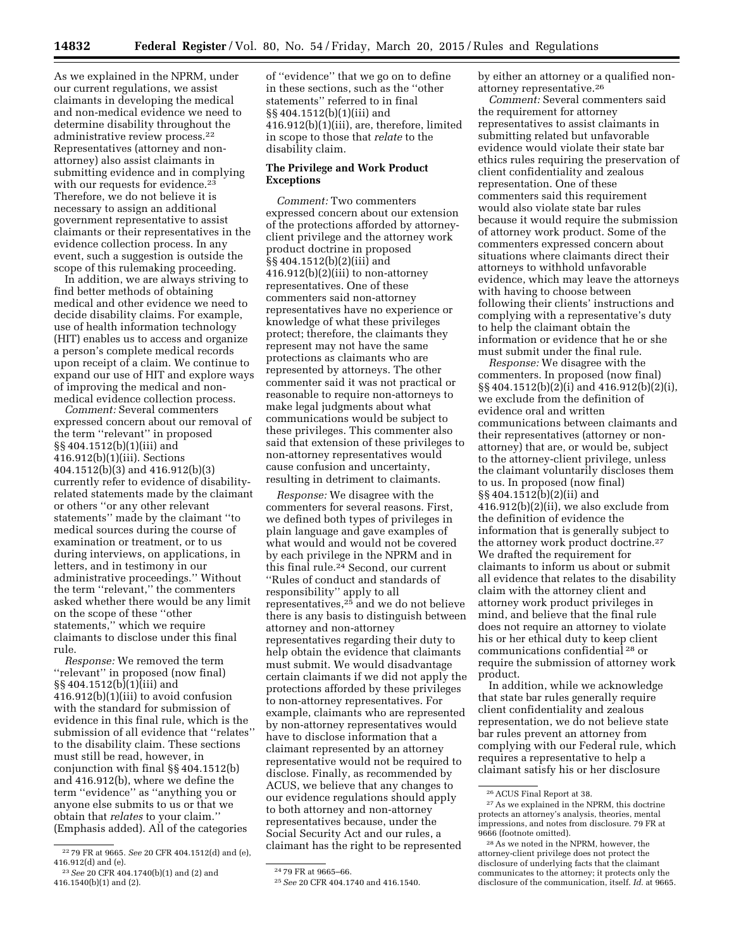As we explained in the NPRM, under our current regulations, we assist claimants in developing the medical and non-medical evidence we need to determine disability throughout the administrative review process.22 Representatives (attorney and nonattorney) also assist claimants in submitting evidence and in complying with our requests for evidence.<sup>23</sup> Therefore, we do not believe it is necessary to assign an additional government representative to assist claimants or their representatives in the evidence collection process. In any event, such a suggestion is outside the scope of this rulemaking proceeding.

In addition, we are always striving to find better methods of obtaining medical and other evidence we need to decide disability claims. For example, use of health information technology (HIT) enables us to access and organize a person's complete medical records upon receipt of a claim. We continue to expand our use of HIT and explore ways of improving the medical and nonmedical evidence collection process.

*Comment:* Several commenters expressed concern about our removal of the term ''relevant'' in proposed §§ 404.1512(b)(1)(iii) and 416.912(b)(1)(iii). Sections 404.1512(b)(3) and 416.912(b)(3) currently refer to evidence of disabilityrelated statements made by the claimant or others ''or any other relevant statements'' made by the claimant ''to medical sources during the course of examination or treatment, or to us during interviews, on applications, in letters, and in testimony in our administrative proceedings.'' Without the term ''relevant,'' the commenters asked whether there would be any limit on the scope of these ''other statements,'' which we require claimants to disclose under this final rule.

*Response:* We removed the term ''relevant'' in proposed (now final) §§ 404.1512(b)(1)(iii) and 416.912(b)(1)(iii) to avoid confusion with the standard for submission of evidence in this final rule, which is the submission of all evidence that ''relates'' to the disability claim. These sections must still be read, however, in conjunction with final §§ 404.1512(b) and 416.912(b), where we define the term ''evidence'' as ''anything you or anyone else submits to us or that we obtain that *relates* to your claim.'' (Emphasis added). All of the categories

of ''evidence'' that we go on to define in these sections, such as the ''other statements'' referred to in final §§ 404.1512(b)(1)(iii) and 416.912(b)(1)(iii), are, therefore, limited in scope to those that *relate* to the disability claim.

## **The Privilege and Work Product Exceptions**

*Comment:* Two commenters expressed concern about our extension of the protections afforded by attorneyclient privilege and the attorney work product doctrine in proposed §§ 404.1512(b)(2)(iii) and 416.912(b)(2)(iii) to non-attorney representatives. One of these commenters said non-attorney representatives have no experience or knowledge of what these privileges protect; therefore, the claimants they represent may not have the same protections as claimants who are represented by attorneys. The other commenter said it was not practical or reasonable to require non-attorneys to make legal judgments about what communications would be subject to these privileges. This commenter also said that extension of these privileges to non-attorney representatives would cause confusion and uncertainty, resulting in detriment to claimants.

*Response:* We disagree with the commenters for several reasons. First, we defined both types of privileges in plain language and gave examples of what would and would not be covered by each privilege in the NPRM and in this final rule.24 Second, our current ''Rules of conduct and standards of responsibility'' apply to all representatives,25 and we do not believe there is any basis to distinguish between attorney and non-attorney representatives regarding their duty to help obtain the evidence that claimants must submit. We would disadvantage certain claimants if we did not apply the protections afforded by these privileges to non-attorney representatives. For example, claimants who are represented by non-attorney representatives would have to disclose information that a claimant represented by an attorney representative would not be required to disclose. Finally, as recommended by ACUS, we believe that any changes to our evidence regulations should apply to both attorney and non-attorney representatives because, under the Social Security Act and our rules, a claimant has the right to be represented

by either an attorney or a qualified nonattorney representative.26

*Comment:* Several commenters said the requirement for attorney representatives to assist claimants in submitting related but unfavorable evidence would violate their state bar ethics rules requiring the preservation of client confidentiality and zealous representation. One of these commenters said this requirement would also violate state bar rules because it would require the submission of attorney work product. Some of the commenters expressed concern about situations where claimants direct their attorneys to withhold unfavorable evidence, which may leave the attorneys with having to choose between following their clients' instructions and complying with a representative's duty to help the claimant obtain the information or evidence that he or she must submit under the final rule.

*Response:* We disagree with the commenters. In proposed (now final) §§ 404.1512(b)(2)(i) and 416.912(b)(2)(i), we exclude from the definition of evidence oral and written communications between claimants and their representatives (attorney or nonattorney) that are, or would be, subject to the attorney-client privilege, unless the claimant voluntarily discloses them to us. In proposed (now final) §§ 404.1512(b)(2)(ii) and 416.912(b)(2)(ii), we also exclude from the definition of evidence the information that is generally subject to the attorney work product doctrine.27 We drafted the requirement for claimants to inform us about or submit all evidence that relates to the disability claim with the attorney client and attorney work product privileges in mind, and believe that the final rule does not require an attorney to violate his or her ethical duty to keep client communications confidential 28 or require the submission of attorney work product.

In addition, while we acknowledge that state bar rules generally require client confidentiality and zealous representation, we do not believe state bar rules prevent an attorney from complying with our Federal rule, which requires a representative to help a claimant satisfy his or her disclosure

<sup>22</sup> 79 FR at 9665. *See* 20 CFR 404.1512(d) and (e), 416.912(d) and (e).

<sup>23</sup>*See* 20 CFR 404.1740(b)(1) and (2) and 416.1540(b)(1) and (2).

<sup>24</sup> 79 FR at 9665–66.

<sup>25</sup>*See* 20 CFR 404.1740 and 416.1540.

<sup>26</sup>ACUS Final Report at 38.

<sup>27</sup>As we explained in the NPRM, this doctrine protects an attorney's analysis, theories, mental impressions, and notes from disclosure. 79 FR at 9666 (footnote omitted).

<sup>28</sup>As we noted in the NPRM, however, the attorney-client privilege does not protect the disclosure of underlying facts that the claimant communicates to the attorney; it protects only the disclosure of the communication, itself. *Id.* at 9665.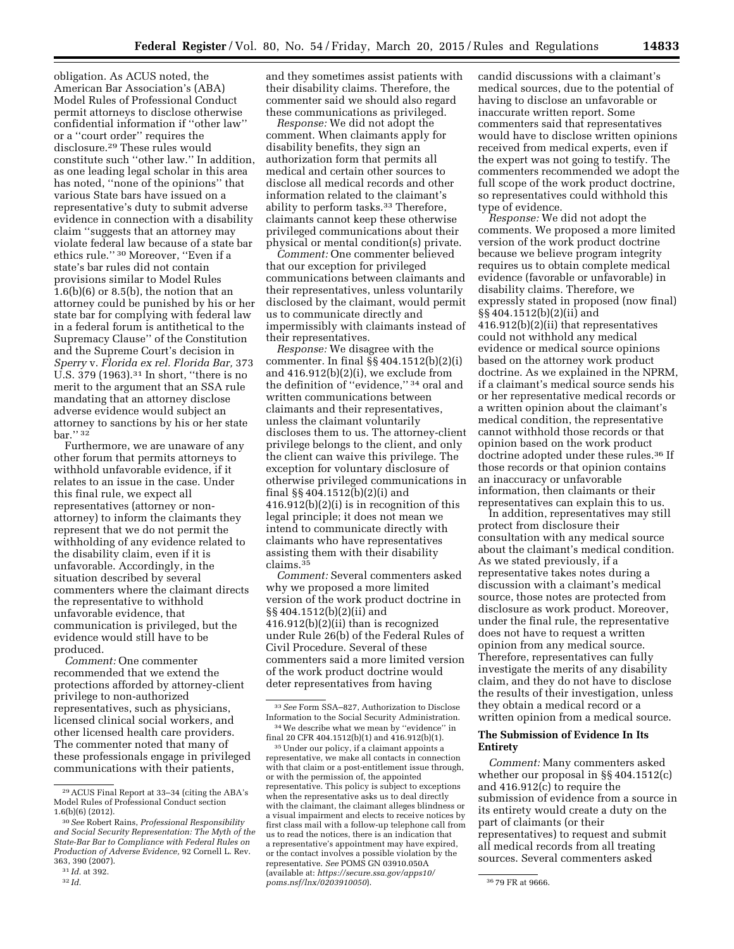33*See* Form SSA–827, Authorization to Disclose Information to the Social Security Administration. 34We describe what we mean by ''evidence'' in final 20 CFR 404.1512(b)(1) and 416.912(b)(1). 35Under our policy, if a claimant appoints a representative, we make all contacts in connection with that claim or a post-entitlement issue through, or with the permission of, the appointed representative. This policy is subject to exceptions when the representative asks us to deal directly with the claimant, the claimant alleges blindness or a visual impairment and elects to receive notices by first class mail with a follow-up telephone call from us to read the notices, there is an indication that a representative's appointment may have expired, or the contact involves a possible violation by the representative. *See* POMS GN 03910.050A (available at: *[https://secure.ssa.gov/apps10/](https://secure.ssa.gov/apps10/poms.nsf/lnx/0203910050)*

the definition of ''evidence,'' 34 oral and written communications between claimants and their representatives, unless the claimant voluntarily

discloses them to us. The attorney-client privilege belongs to the client, and only the client can waive this privilege. The exception for voluntary disclosure of otherwise privileged communications in

416.912(b)(2)(i) is in recognition of this legal principle; it does not mean we intend to communicate directly with claimants who have representatives assisting them with their disability

*Comment:* Several commenters asked

why we proposed a more limited version of the work product doctrine in

416.912(b)(2)(ii) than is recognized under Rule 26(b) of the Federal Rules of Civil Procedure. Several of these commenters said a more limited version of the work product doctrine would deter representatives from having

§§ 404.1512(b)(2)(ii) and

final §§ 404.1512(b)(2)(i) and

claims.35

and they sometimes assist patients with their disability claims. Therefore, the commenter said we should also regard these communications as privileged. *Response:* We did not adopt the comment. When claimants apply for disability benefits, they sign an authorization form that permits all medical and certain other sources to disclose all medical records and other information related to the claimant's

has noted, ''none of the opinions'' that various State bars have issued on a representative's duty to submit adverse evidence in connection with a disability claim ''suggests that an attorney may violate federal law because of a state bar ethics rule.'' 30 Moreover, ''Even if a state's bar rules did not contain provisions similar to Model Rules  $1.6(b)(6)$  or  $8.5(b)$ , the notion that an attorney could be punished by his or her state bar for complying with federal law in a federal forum is antithetical to the Supremacy Clause'' of the Constitution and the Supreme Court's decision in *Sperry* v. *Florida ex rel. Florida Bar,* 373 ability to perform tasks.<sup>33</sup> Therefore, claimants cannot keep these otherwise privileged communications about their physical or mental condition(s) private. *Comment:* One commenter believed that our exception for privileged communications between claimants and their representatives, unless voluntarily disclosed by the claimant, would permit us to communicate directly and impermissibly with claimants instead of their representatives. *Response:* We disagree with the commenter. In final §§ 404.1512(b)(2)(i) and  $416.912(b)(2)(i)$ , we exclude from

U.S. 379 (1963).31 In short, ''there is no merit to the argument that an SSA rule mandating that an attorney disclose adverse evidence would subject an attorney to sanctions by his or her state bar." 32

obligation. As ACUS noted, the American Bar Association's (ABA) Model Rules of Professional Conduct permit attorneys to disclose otherwise confidential information if ''other law''

or a ''court order'' requires the disclosure.29 These rules would

constitute such ''other law.'' In addition, as one leading legal scholar in this area

Furthermore, we are unaware of any other forum that permits attorneys to withhold unfavorable evidence, if it relates to an issue in the case. Under this final rule, we expect all representatives (attorney or nonattorney) to inform the claimants they represent that we do not permit the withholding of any evidence related to the disability claim, even if it is unfavorable. Accordingly, in the situation described by several commenters where the claimant directs the representative to withhold unfavorable evidence, that communication is privileged, but the evidence would still have to be produced.

*Comment:* One commenter recommended that we extend the protections afforded by attorney-client privilege to non-authorized representatives, such as physicians, licensed clinical social workers, and other licensed health care providers. The commenter noted that many of these professionals engage in privileged communications with their patients,

candid discussions with a claimant's medical sources, due to the potential of having to disclose an unfavorable or inaccurate written report. Some commenters said that representatives would have to disclose written opinions received from medical experts, even if the expert was not going to testify. The commenters recommended we adopt the full scope of the work product doctrine, so representatives could withhold this

> type of evidence. *Response:* We did not adopt the comments. We proposed a more limited version of the work product doctrine because we believe program integrity requires us to obtain complete medical evidence (favorable or unfavorable) in disability claims. Therefore, we expressly stated in proposed (now final) §§ 404.1512(b)(2)(ii) and 416.912(b)(2)(ii) that representatives could not withhold any medical evidence or medical source opinions based on the attorney work product doctrine. As we explained in the NPRM, if a claimant's medical source sends his or her representative medical records or a written opinion about the claimant's medical condition, the representative cannot withhold those records or that opinion based on the work product doctrine adopted under these rules.<sup>36</sup> If those records or that opinion contains an inaccuracy or unfavorable information, then claimants or their representatives can explain this to us.

In addition, representatives may still protect from disclosure their consultation with any medical source about the claimant's medical condition. As we stated previously, if a representative takes notes during a discussion with a claimant's medical source, those notes are protected from disclosure as work product. Moreover, under the final rule, the representative does not have to request a written opinion from any medical source. Therefore, representatives can fully investigate the merits of any disability claim, and they do not have to disclose the results of their investigation, unless they obtain a medical record or a written opinion from a medical source.

#### **The Submission of Evidence In Its Entirety**

*Comment:* Many commenters asked whether our proposal in §§ 404.1512(c) and 416.912(c) to require the submission of evidence from a source in its entirety would create a duty on the part of claimants (or their representatives) to request and submit all medical records from all treating sources. Several commenters asked

<sup>29</sup>ACUS Final Report at 33–34 (citing the ABA's Model Rules of Professional Conduct section 1.6(b)(6) (2012).

<sup>30</sup>*See* Robert Rains, *Professional Responsibility and Social Security Representation: The Myth of the State-Bar Bar to Compliance with Federal Rules on Production of Adverse Evidence,* 92 Cornell L. Rev. 363, 390 (2007).

<sup>31</sup> *Id.* at 392.

<sup>32</sup> *Id.* 

*poms.nsf*/lnx/0203910050). <sup>36</sup> 71<sup>2</sup> <sup>36</sup> 79 FR at 9666.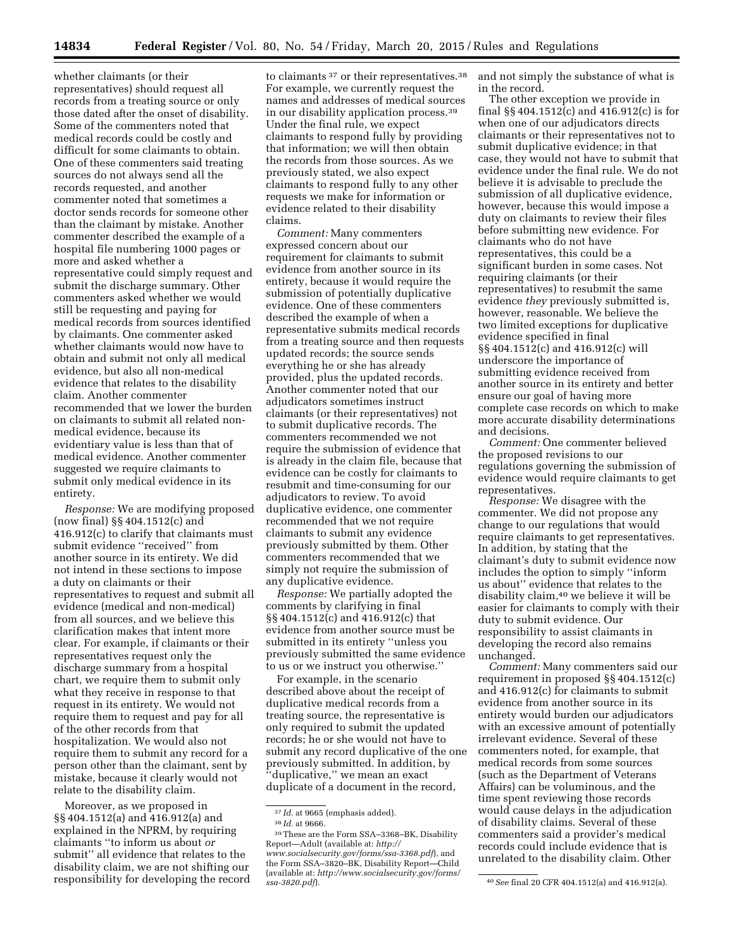whether claimants (or their representatives) should request all records from a treating source or only those dated after the onset of disability. Some of the commenters noted that medical records could be costly and difficult for some claimants to obtain. One of these commenters said treating sources do not always send all the records requested, and another commenter noted that sometimes a doctor sends records for someone other than the claimant by mistake. Another commenter described the example of a hospital file numbering 1000 pages or more and asked whether a representative could simply request and submit the discharge summary. Other commenters asked whether we would still be requesting and paying for medical records from sources identified by claimants. One commenter asked whether claimants would now have to obtain and submit not only all medical evidence, but also all non-medical evidence that relates to the disability claim. Another commenter recommended that we lower the burden on claimants to submit all related nonmedical evidence, because its evidentiary value is less than that of medical evidence. Another commenter suggested we require claimants to submit only medical evidence in its entirety.

*Response:* We are modifying proposed (now final) §§ 404.1512(c) and 416.912(c) to clarify that claimants must submit evidence ''received'' from another source in its entirety. We did not intend in these sections to impose a duty on claimants or their representatives to request and submit all evidence (medical and non-medical) from all sources, and we believe this clarification makes that intent more clear. For example, if claimants or their representatives request only the discharge summary from a hospital chart, we require them to submit only what they receive in response to that request in its entirety. We would not require them to request and pay for all of the other records from that hospitalization. We would also not require them to submit any record for a person other than the claimant, sent by mistake, because it clearly would not relate to the disability claim.

Moreover, as we proposed in §§ 404.1512(a) and 416.912(a) and explained in the NPRM, by requiring claimants ''to inform us about *or*  submit'' all evidence that relates to the disability claim, we are not shifting our responsibility for developing the record

to claimants <sup>37</sup> or their representatives.<sup>38</sup> For example, we currently request the names and addresses of medical sources in our disability application process.39 Under the final rule, we expect claimants to respond fully by providing that information; we will then obtain the records from those sources. As we previously stated, we also expect claimants to respond fully to any other requests we make for information or evidence related to their disability claims.

*Comment:* Many commenters expressed concern about our requirement for claimants to submit evidence from another source in its entirety, because it would require the submission of potentially duplicative evidence. One of these commenters described the example of when a representative submits medical records from a treating source and then requests updated records; the source sends everything he or she has already provided, plus the updated records. Another commenter noted that our adjudicators sometimes instruct claimants (or their representatives) not to submit duplicative records. The commenters recommended we not require the submission of evidence that is already in the claim file, because that evidence can be costly for claimants to resubmit and time-consuming for our adjudicators to review. To avoid duplicative evidence, one commenter recommended that we not require claimants to submit any evidence previously submitted by them. Other commenters recommended that we simply not require the submission of any duplicative evidence.

*Response:* We partially adopted the comments by clarifying in final §§ 404.1512(c) and 416.912(c) that evidence from another source must be submitted in its entirety ''unless you previously submitted the same evidence to us or we instruct you otherwise.''

For example, in the scenario described above about the receipt of duplicative medical records from a treating source, the representative is only required to submit the updated records; he or she would not have to submit any record duplicative of the one previously submitted. In addition, by ''duplicative,'' we mean an exact duplicate of a document in the record,

37 *Id.* at 9665 (emphasis added).

and not simply the substance of what is in the record.

The other exception we provide in final §§ 404.1512(c) and 416.912(c) is for when one of our adjudicators directs claimants or their representatives not to submit duplicative evidence; in that case, they would not have to submit that evidence under the final rule. We do not believe it is advisable to preclude the submission of all duplicative evidence, however, because this would impose a duty on claimants to review their files before submitting new evidence. For claimants who do not have representatives, this could be a significant burden in some cases. Not requiring claimants (or their representatives) to resubmit the same evidence *they* previously submitted is, however, reasonable. We believe the two limited exceptions for duplicative evidence specified in final §§ 404.1512(c) and 416.912(c) will underscore the importance of submitting evidence received from another source in its entirety and better ensure our goal of having more complete case records on which to make more accurate disability determinations and decisions.

*Comment:* One commenter believed the proposed revisions to our regulations governing the submission of evidence would require claimants to get representatives.

*Response:* We disagree with the commenter. We did not propose any change to our regulations that would require claimants to get representatives. In addition, by stating that the claimant's duty to submit evidence now includes the option to simply ''inform us about'' evidence that relates to the disability claim,40 we believe it will be easier for claimants to comply with their duty to submit evidence. Our responsibility to assist claimants in developing the record also remains unchanged.

*Comment:* Many commenters said our requirement in proposed §§ 404.1512(c) and 416.912(c) for claimants to submit evidence from another source in its entirety would burden our adjudicators with an excessive amount of potentially irrelevant evidence. Several of these commenters noted, for example, that medical records from some sources (such as the Department of Veterans Affairs) can be voluminous, and the time spent reviewing those records would cause delays in the adjudication of disability claims. Several of these commenters said a provider's medical records could include evidence that is unrelated to the disability claim. Other

<sup>38</sup> *Id.* at 9666.

<sup>39</sup>These are the Form SSA–3368–BK, Disability Report—Adult (available at: *[http://](http://www.socialsecurity.gov/forms/ssa-3368.pdf) [www.socialsecurity.gov/forms/ssa-3368.pdf](http://www.socialsecurity.gov/forms/ssa-3368.pdf)*), and the Form SSA–3820–BK, Disability Report—Child (available at: *[http://www.socialsecurity.gov/forms/](http://www.socialsecurity.gov/forms/ssa-3820.pdf)*

*[ssa-3820.pdf](http://www.socialsecurity.gov/forms/ssa-3820.pdf)*). 40*See* final 20 CFR 404.1512(a) and 416.912(a).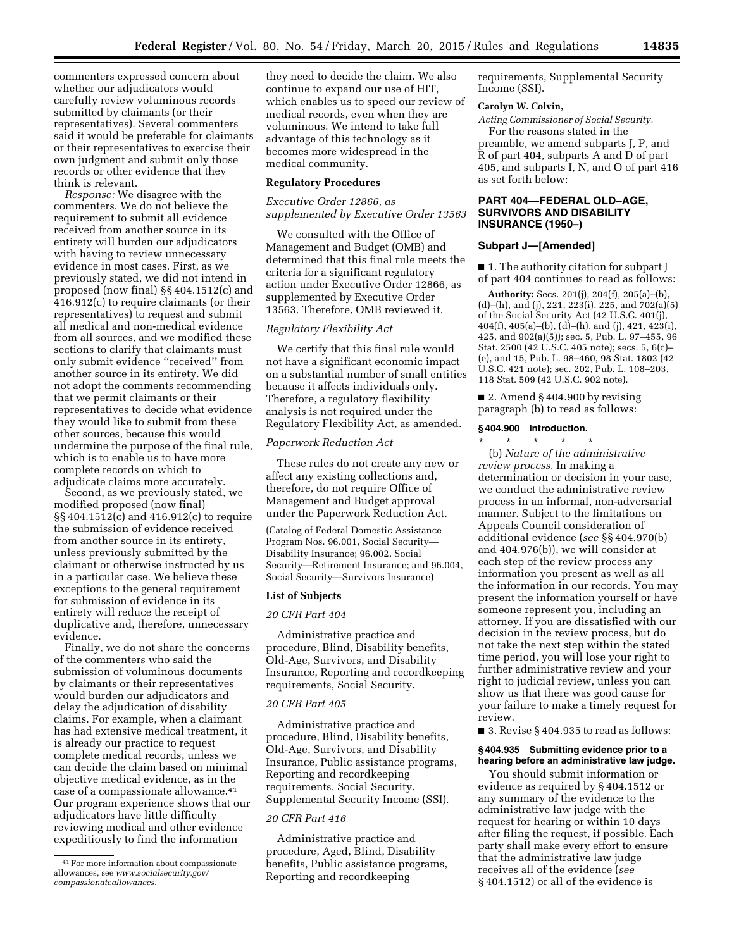commenters expressed concern about whether our adjudicators would carefully review voluminous records submitted by claimants (or their representatives). Several commenters said it would be preferable for claimants or their representatives to exercise their own judgment and submit only those records or other evidence that they think is relevant.

*Response:* We disagree with the commenters. We do not believe the requirement to submit all evidence received from another source in its entirety will burden our adjudicators with having to review unnecessary evidence in most cases. First, as we previously stated, we did not intend in proposed (now final) §§ 404.1512(c) and 416.912(c) to require claimants (or their representatives) to request and submit all medical and non-medical evidence from all sources, and we modified these sections to clarify that claimants must only submit evidence ''received'' from another source in its entirety. We did not adopt the comments recommending that we permit claimants or their representatives to decide what evidence they would like to submit from these other sources, because this would undermine the purpose of the final rule, which is to enable us to have more complete records on which to adjudicate claims more accurately.

Second, as we previously stated, we modified proposed (now final) §§ 404.1512(c) and 416.912(c) to require the submission of evidence received from another source in its entirety, unless previously submitted by the claimant or otherwise instructed by us in a particular case. We believe these exceptions to the general requirement for submission of evidence in its entirety will reduce the receipt of duplicative and, therefore, unnecessary evidence.

Finally, we do not share the concerns of the commenters who said the submission of voluminous documents by claimants or their representatives would burden our adjudicators and delay the adjudication of disability claims. For example, when a claimant has had extensive medical treatment, it is already our practice to request complete medical records, unless we can decide the claim based on minimal objective medical evidence, as in the case of a compassionate allowance.41 Our program experience shows that our adjudicators have little difficulty reviewing medical and other evidence expeditiously to find the information

they need to decide the claim. We also continue to expand our use of HIT, which enables us to speed our review of medical records, even when they are voluminous. We intend to take full advantage of this technology as it becomes more widespread in the medical community.

#### **Regulatory Procedures**

*Executive Order 12866, as supplemented by Executive Order 13563* 

We consulted with the Office of Management and Budget (OMB) and determined that this final rule meets the criteria for a significant regulatory action under Executive Order 12866, as supplemented by Executive Order 13563. Therefore, OMB reviewed it.

## *Regulatory Flexibility Act*

We certify that this final rule would not have a significant economic impact on a substantial number of small entities because it affects individuals only. Therefore, a regulatory flexibility analysis is not required under the Regulatory Flexibility Act, as amended.

### *Paperwork Reduction Act*

These rules do not create any new or affect any existing collections and, therefore, do not require Office of Management and Budget approval under the Paperwork Reduction Act.

(Catalog of Federal Domestic Assistance Program Nos. 96.001, Social Security— Disability Insurance; 96.002, Social Security—Retirement Insurance; and 96.004, Social Security—Survivors Insurance)

#### **List of Subjects**

#### *20 CFR Part 404*

Administrative practice and procedure, Blind, Disability benefits, Old-Age, Survivors, and Disability Insurance, Reporting and recordkeeping requirements, Social Security.

#### *20 CFR Part 405*

Administrative practice and procedure, Blind, Disability benefits, Old-Age, Survivors, and Disability Insurance, Public assistance programs, Reporting and recordkeeping requirements, Social Security, Supplemental Security Income (SSI).

## *20 CFR Part 416*

Administrative practice and procedure, Aged, Blind, Disability benefits, Public assistance programs, Reporting and recordkeeping

requirements, Supplemental Security Income (SSI).

#### **Carolyn W. Colvin,**

*Acting Commissioner of Social Security.*  For the reasons stated in the

preamble, we amend subparts J, P, and R of part 404, subparts A and D of part 405, and subparts I, N, and O of part 416 as set forth below:

## **PART 404—FEDERAL OLD–AGE, SURVIVORS AND DISABILITY INSURANCE (1950–)**

#### **Subpart J—[Amended]**

■ 1. The authority citation for subpart J of part 404 continues to read as follows:

**Authority:** Secs. 201(j), 204(f), 205(a)–(b), (d)–(h), and (j), 221, 223(i), 225, and 702(a)(5) of the Social Security Act (42 U.S.C. 401(j), 404(f), 405(a)–(b), (d)–(h), and (j), 421, 423(i), 425, and 902(a)(5)); sec. 5, Pub. L. 97–455, 96 Stat. 2500 (42 U.S.C. 405 note); secs. 5, 6(c)– (e), and 15, Pub. L. 98–460, 98 Stat. 1802 (42 U.S.C. 421 note); sec. 202, Pub. L. 108–203, 118 Stat. 509 (42 U.S.C. 902 note).

 $\blacksquare$  2. Amend § 404.900 by revising paragraph (b) to read as follows:

#### **§ 404.900 Introduction.**

\* \* \* \* \* (b) *Nature of the administrative review process.* In making a determination or decision in your case, we conduct the administrative review process in an informal, non-adversarial manner. Subject to the limitations on Appeals Council consideration of additional evidence (*see* §§ 404.970(b) and 404.976(b)), we will consider at each step of the review process any information you present as well as all the information in our records. You may present the information yourself or have someone represent you, including an attorney. If you are dissatisfied with our decision in the review process, but do not take the next step within the stated time period, you will lose your right to further administrative review and your right to judicial review, unless you can show us that there was good cause for your failure to make a timely request for review.

■ 3. Revise § 404.935 to read as follows:

### **§ 404.935 Submitting evidence prior to a hearing before an administrative law judge.**

You should submit information or evidence as required by § 404.1512 or any summary of the evidence to the administrative law judge with the request for hearing or within 10 days after filing the request, if possible. Each party shall make every effort to ensure that the administrative law judge receives all of the evidence (*see*  § 404.1512) or all of the evidence is

<sup>41</sup>For more information about compassionate allowances, see *[www.socialsecurity.gov/](http://www.socialsecurity.gov/compassionateallowances) [compassionateallowances.](http://www.socialsecurity.gov/compassionateallowances)*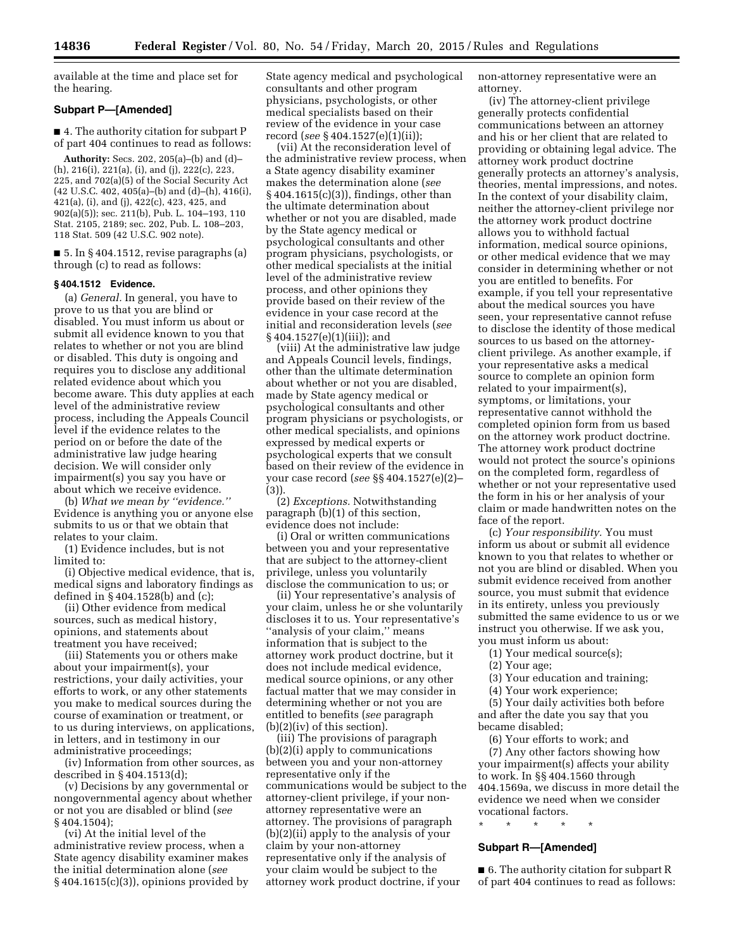available at the time and place set for the hearing.

## **Subpart P—[Amended]**

■ 4. The authority citation for subpart P of part 404 continues to read as follows:

**Authority:** Secs. 202, 205(a)–(b) and (d)– (h), 216(i), 221(a), (i), and (j), 222(c), 223, 225, and 702(a)(5) of the Social Security Act (42 U.S.C. 402, 405(a)–(b) and (d)–(h), 416(i), 421(a), (i), and (j), 422(c), 423, 425, and 902(a)(5)); sec. 211(b), Pub. L. 104–193, 110 Stat. 2105, 2189; sec. 202, Pub. L. 108–203, 118 Stat. 509 (42 U.S.C. 902 note).

 $\blacksquare$  5. In § 404.1512, revise paragraphs (a) through (c) to read as follows:

#### **§ 404.1512 Evidence.**

(a) *General.* In general, you have to prove to us that you are blind or disabled. You must inform us about or submit all evidence known to you that relates to whether or not you are blind or disabled. This duty is ongoing and requires you to disclose any additional related evidence about which you become aware. This duty applies at each level of the administrative review process, including the Appeals Council level if the evidence relates to the period on or before the date of the administrative law judge hearing decision. We will consider only impairment(s) you say you have or about which we receive evidence.

(b) *What we mean by ''evidence.''*  Evidence is anything you or anyone else submits to us or that we obtain that relates to your claim.

(1) Evidence includes, but is not limited to:

(i) Objective medical evidence, that is, medical signs and laboratory findings as defined in § 404.1528(b) and (c);

(ii) Other evidence from medical sources, such as medical history, opinions, and statements about treatment you have received;

(iii) Statements you or others make about your impairment(s), your restrictions, your daily activities, your efforts to work, or any other statements you make to medical sources during the course of examination or treatment, or to us during interviews, on applications, in letters, and in testimony in our administrative proceedings;

(iv) Information from other sources, as described in § 404.1513(d);

(v) Decisions by any governmental or nongovernmental agency about whether or not you are disabled or blind (*see*  § 404.1504);

(vi) At the initial level of the administrative review process, when a State agency disability examiner makes the initial determination alone (*see*  § 404.1615(c)(3)), opinions provided by

State agency medical and psychological consultants and other program physicians, psychologists, or other medical specialists based on their review of the evidence in your case record (*see* § 404.1527(e)(1)(ii));

(vii) At the reconsideration level of the administrative review process, when a State agency disability examiner makes the determination alone (*see*  § 404.1615(c)(3)), findings, other than the ultimate determination about whether or not you are disabled, made by the State agency medical or psychological consultants and other program physicians, psychologists, or other medical specialists at the initial level of the administrative review process, and other opinions they provide based on their review of the evidence in your case record at the initial and reconsideration levels (*see*  § 404.1527(e)(1)(iii)); and

(viii) At the administrative law judge and Appeals Council levels, findings, other than the ultimate determination about whether or not you are disabled, made by State agency medical or psychological consultants and other program physicians or psychologists, or other medical specialists, and opinions expressed by medical experts or psychological experts that we consult based on their review of the evidence in your case record (*see* §§ 404.1527(e)(2)– (3)).

(2) *Exceptions.* Notwithstanding paragraph (b)(1) of this section, evidence does not include:

(i) Oral or written communications between you and your representative that are subject to the attorney-client privilege, unless you voluntarily disclose the communication to us; or

(ii) Your representative's analysis of your claim, unless he or she voluntarily discloses it to us. Your representative's ''analysis of your claim,'' means information that is subject to the attorney work product doctrine, but it does not include medical evidence, medical source opinions, or any other factual matter that we may consider in determining whether or not you are entitled to benefits (*see* paragraph (b)(2)(iv) of this section).

(iii) The provisions of paragraph (b)(2)(i) apply to communications between you and your non-attorney representative only if the communications would be subject to the attorney-client privilege, if your nonattorney representative were an attorney. The provisions of paragraph (b)(2)(ii) apply to the analysis of your claim by your non-attorney representative only if the analysis of your claim would be subject to the attorney work product doctrine, if your

non-attorney representative were an attorney.

(iv) The attorney-client privilege generally protects confidential communications between an attorney and his or her client that are related to providing or obtaining legal advice. The attorney work product doctrine generally protects an attorney's analysis, theories, mental impressions, and notes. In the context of your disability claim, neither the attorney-client privilege nor the attorney work product doctrine allows you to withhold factual information, medical source opinions, or other medical evidence that we may consider in determining whether or not you are entitled to benefits. For example, if you tell your representative about the medical sources you have seen, your representative cannot refuse to disclose the identity of those medical sources to us based on the attorneyclient privilege. As another example, if your representative asks a medical source to complete an opinion form related to your impairment(s), symptoms, or limitations, your representative cannot withhold the completed opinion form from us based on the attorney work product doctrine. The attorney work product doctrine would not protect the source's opinions on the completed form, regardless of whether or not your representative used the form in his or her analysis of your claim or made handwritten notes on the face of the report.

(c) *Your responsibility.* You must inform us about or submit all evidence known to you that relates to whether or not you are blind or disabled. When you submit evidence received from another source, you must submit that evidence in its entirety, unless you previously submitted the same evidence to us or we instruct you otherwise. If we ask you, you must inform us about:

(1) Your medical source(s);

(2) Your age;

(3) Your education and training;

(4) Your work experience;

(5) Your daily activities both before and after the date you say that you became disabled;

(6) Your efforts to work; and (7) Any other factors showing how your impairment(s) affects your ability to work. In §§ 404.1560 through 404.1569a, we discuss in more detail the evidence we need when we consider vocational factors.

\* \* \* \* \*

## **Subpart R—[Amended]**

■ 6. The authority citation for subpart R of part 404 continues to read as follows: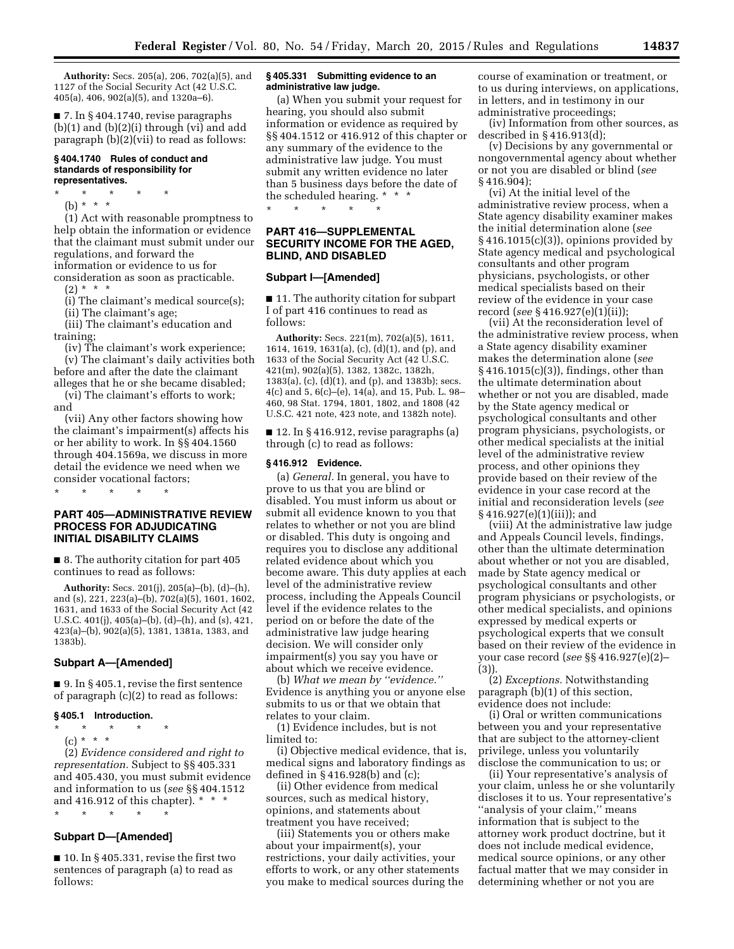**Authority:** Secs. 205(a), 206, 702(a)(5), and 1127 of the Social Security Act (42 U.S.C. 405(a), 406, 902(a)(5), and 1320a–6).

■ 7. In § 404.1740, revise paragraphs  $(b)(1)$  and  $(b)(2)(i)$  through (vi) and add paragraph (b)(2)(vii) to read as follows:

#### **§ 404.1740 Rules of conduct and standards of responsibility for representatives.**

\* \* \* \* \*

(b) \* \* \* \*

(1) Act with reasonable promptness to help obtain the information or evidence that the claimant must submit under our regulations, and forward the information or evidence to us for

consideration as soon as practicable.  $(2) * * * *$ 

(i) The claimant's medical source(s);

(ii) The claimant's age;

(iii) The claimant's education and training;

(iv) The claimant's work experience; (v) The claimant's daily activities both before and after the date the claimant

alleges that he or she became disabled; (vi) The claimant's efforts to work; and

(vii) Any other factors showing how the claimant's impairment(s) affects his or her ability to work. In §§ 404.1560 through 404.1569a, we discuss in more detail the evidence we need when we consider vocational factors;

\* \* \* \* \*

## **PART 405—ADMINISTRATIVE REVIEW PROCESS FOR ADJUDICATING INITIAL DISABILITY CLAIMS**

■ 8. The authority citation for part 405 continues to read as follows:

**Authority:** Secs. 201(j), 205(a)–(b), (d)–(h), and (s), 221, 223(a)–(b), 702(a)(5), 1601, 1602, 1631, and 1633 of the Social Security Act (42 U.S.C. 401(j), 405(a)–(b), (d)–(h), and (s), 421, 423(a)–(b), 902(a)(5), 1381, 1381a, 1383, and 1383b).

## **Subpart A—[Amended]**

■ 9. In §405.1, revise the first sentence of paragraph (c)(2) to read as follows:

## **§ 405.1 Introduction.**

- \* \* \* \* \*
	- (c) \* \* \*

(2) *Evidence considered and right to representation.* Subject to §§ 405.331 and 405.430, you must submit evidence and information to us (*see* §§ 404.1512 and 416.912 of this chapter). \* \* \*

#### \* \* \* \* \*

## **Subpart D—[Amended]**

 $\blacksquare$  10. In § 405.331, revise the first two sentences of paragraph (a) to read as follows:

#### **§ 405.331 Submitting evidence to an administrative law judge.**

(a) When you submit your request for hearing, you should also submit information or evidence as required by §§ 404.1512 or 416.912 of this chapter or any summary of the evidence to the administrative law judge. You must submit any written evidence no later than 5 business days before the date of the scheduled hearing. \* \* \* \* \* \* \* \*

## **PART 416—SUPPLEMENTAL SECURITY INCOME FOR THE AGED, BLIND, AND DISABLED**

#### **Subpart I—[Amended]**

■ 11. The authority citation for subpart I of part 416 continues to read as follows:

**Authority:** Secs. 221(m), 702(a)(5), 1611, 1614, 1619, 1631(a), (c), (d)(1), and (p), and 1633 of the Social Security Act (42 U.S.C. 421(m), 902(a)(5), 1382, 1382c, 1382h, 1383(a), (c), (d)(1), and (p), and 1383b); secs. 4(c) and 5, 6(c)–(e), 14(a), and 15, Pub. L. 98– 460, 98 Stat. 1794, 1801, 1802, and 1808 (42 U.S.C. 421 note, 423 note, and 1382h note).

■ 12. In § 416.912, revise paragraphs (a) through (c) to read as follows:

#### **§ 416.912 Evidence.**

(a) *General.* In general, you have to prove to us that you are blind or disabled. You must inform us about or submit all evidence known to you that relates to whether or not you are blind or disabled. This duty is ongoing and requires you to disclose any additional related evidence about which you become aware. This duty applies at each level of the administrative review process, including the Appeals Council level if the evidence relates to the period on or before the date of the administrative law judge hearing decision. We will consider only impairment(s) you say you have or about which we receive evidence.

(b) *What we mean by ''evidence.''*  Evidence is anything you or anyone else submits to us or that we obtain that relates to your claim.

(1) Evidence includes, but is not limited to:

(i) Objective medical evidence, that is, medical signs and laboratory findings as defined in § 416.928(b) and (c);

(ii) Other evidence from medical sources, such as medical history, opinions, and statements about treatment you have received;

(iii) Statements you or others make about your impairment(s), your restrictions, your daily activities, your efforts to work, or any other statements you make to medical sources during the course of examination or treatment, or to us during interviews, on applications, in letters, and in testimony in our administrative proceedings;

(iv) Information from other sources, as described in § 416.913(d);

(v) Decisions by any governmental or nongovernmental agency about whether or not you are disabled or blind (*see*  § 416.904);

(vi) At the initial level of the administrative review process, when a State agency disability examiner makes the initial determination alone (*see*  § 416.1015(c)(3)), opinions provided by State agency medical and psychological consultants and other program physicians, psychologists, or other medical specialists based on their review of the evidence in your case record (*see* § 416.927(e)(1)(ii));

(vii) At the reconsideration level of the administrative review process, when a State agency disability examiner makes the determination alone (*see*  § 416.1015(c)(3)), findings, other than the ultimate determination about whether or not you are disabled, made by the State agency medical or psychological consultants and other program physicians, psychologists, or other medical specialists at the initial level of the administrative review process, and other opinions they provide based on their review of the evidence in your case record at the initial and reconsideration levels (*see*  § 416.927(e)(1)(iii)); and

(viii) At the administrative law judge and Appeals Council levels, findings, other than the ultimate determination about whether or not you are disabled, made by State agency medical or psychological consultants and other program physicians or psychologists, or other medical specialists, and opinions expressed by medical experts or psychological experts that we consult based on their review of the evidence in your case record (*see* §§ 416.927(e)(2)– (3)).

(2) *Exceptions.* Notwithstanding paragraph (b)(1) of this section, evidence does not include:

(i) Oral or written communications between you and your representative that are subject to the attorney-client privilege, unless you voluntarily disclose the communication to us; or

(ii) Your representative's analysis of your claim, unless he or she voluntarily discloses it to us. Your representative's ''analysis of your claim,'' means information that is subject to the attorney work product doctrine, but it does not include medical evidence, medical source opinions, or any other factual matter that we may consider in determining whether or not you are